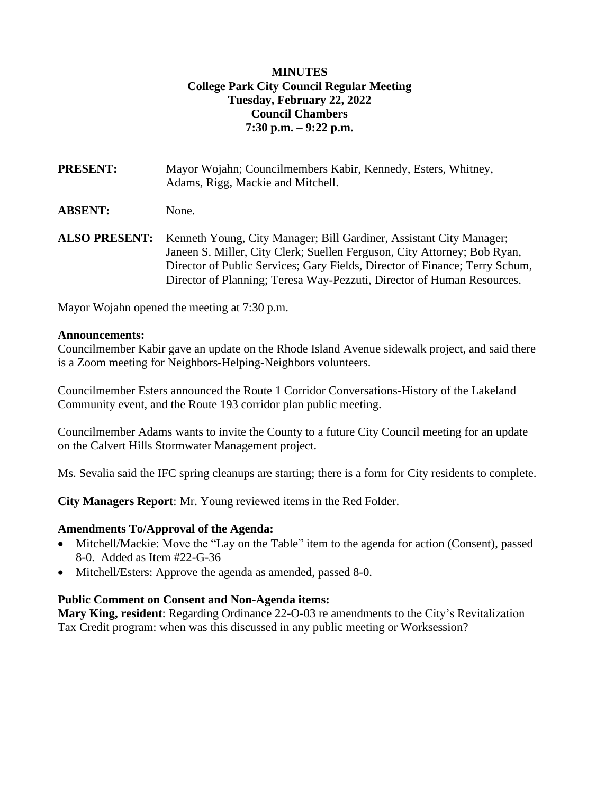# **MINUTES College Park City Council Regular Meeting Tuesday, February 22, 2022 Council Chambers 7:30 p.m. – 9:22 p.m.**

| <b>PRESENT:</b>      | Mayor Wojahn; Councilmembers Kabir, Kennedy, Esters, Whitney,<br>Adams, Rigg, Mackie and Mitchell.                                                                                                                                                                                                       |
|----------------------|----------------------------------------------------------------------------------------------------------------------------------------------------------------------------------------------------------------------------------------------------------------------------------------------------------|
| <b>ABSENT:</b>       | None.                                                                                                                                                                                                                                                                                                    |
| <b>ALSO PRESENT:</b> | Kenneth Young, City Manager; Bill Gardiner, Assistant City Manager;<br>Janeen S. Miller, City Clerk; Suellen Ferguson, City Attorney; Bob Ryan,<br>Director of Public Services; Gary Fields, Director of Finance; Terry Schum,<br>Director of Planning; Teresa Way-Pezzuti, Director of Human Resources. |

Mayor Wojahn opened the meeting at 7:30 p.m.

#### **Announcements:**

Councilmember Kabir gave an update on the Rhode Island Avenue sidewalk project, and said there is a Zoom meeting for Neighbors-Helping-Neighbors volunteers.

Councilmember Esters announced the Route 1 Corridor Conversations-History of the Lakeland Community event, and the Route 193 corridor plan public meeting.

Councilmember Adams wants to invite the County to a future City Council meeting for an update on the Calvert Hills Stormwater Management project.

Ms. Sevalia said the IFC spring cleanups are starting; there is a form for City residents to complete.

**City Managers Report**: Mr. Young reviewed items in the Red Folder.

#### **Amendments To/Approval of the Agenda:**

- Mitchell/Mackie: Move the "Lay on the Table" item to the agenda for action (Consent), passed 8-0. Added as Item #22-G-36
- Mitchell/Esters: Approve the agenda as amended, passed 8-0.

#### **Public Comment on Consent and Non-Agenda items:**

**Mary King, resident**: Regarding Ordinance 22-O-03 re amendments to the City's Revitalization Tax Credit program: when was this discussed in any public meeting or Worksession?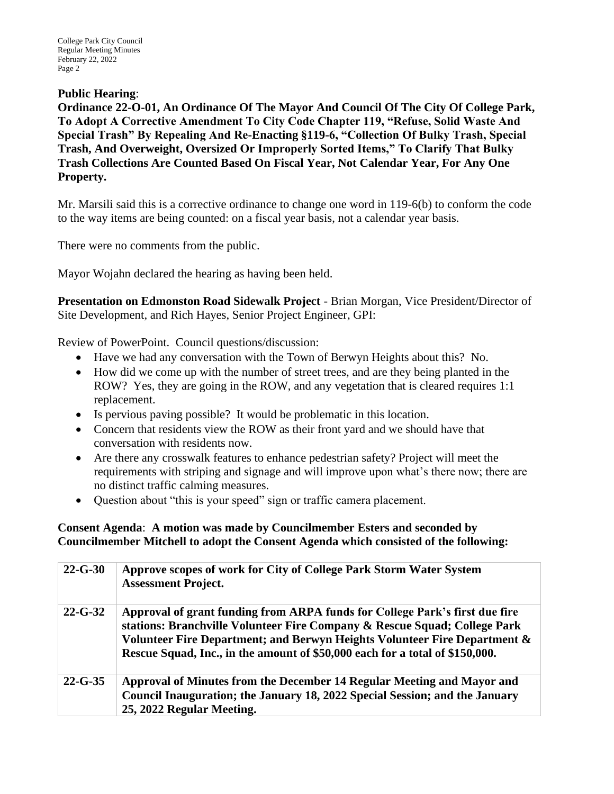#### **Public Hearing**:

**Ordinance 22-O-01, An Ordinance Of The Mayor And Council Of The City Of College Park, To Adopt A Corrective Amendment To City Code Chapter 119, "Refuse, Solid Waste And Special Trash" By Repealing And Re-Enacting §119-6, "Collection Of Bulky Trash, Special Trash, And Overweight, Oversized Or Improperly Sorted Items," To Clarify That Bulky Trash Collections Are Counted Based On Fiscal Year, Not Calendar Year, For Any One Property.**

Mr. Marsili said this is a corrective ordinance to change one word in 119-6(b) to conform the code to the way items are being counted: on a fiscal year basis, not a calendar year basis.

There were no comments from the public.

Mayor Wojahn declared the hearing as having been held.

**Presentation on Edmonston Road Sidewalk Project** - Brian Morgan, Vice President/Director of Site Development, and Rich Hayes, Senior Project Engineer, GPI:

Review of PowerPoint. Council questions/discussion:

- Have we had any conversation with the Town of Berwyn Heights about this? No.
- How did we come up with the number of street trees, and are they being planted in the ROW? Yes, they are going in the ROW, and any vegetation that is cleared requires 1:1 replacement.
- Is pervious paving possible? It would be problematic in this location.
- Concern that residents view the ROW as their front yard and we should have that conversation with residents now.
- Are there any crosswalk features to enhance pedestrian safety? Project will meet the requirements with striping and signage and will improve upon what's there now; there are no distinct traffic calming measures.
- Ouestion about "this is your speed" sign or traffic camera placement.

**Consent Agenda**: **A motion was made by Councilmember Esters and seconded by Councilmember Mitchell to adopt the Consent Agenda which consisted of the following:**

| $22 - G - 30$ | Approve scopes of work for City of College Park Storm Water System<br><b>Assessment Project.</b>                                                                                                                                                                                                                      |
|---------------|-----------------------------------------------------------------------------------------------------------------------------------------------------------------------------------------------------------------------------------------------------------------------------------------------------------------------|
| $22 - G - 32$ | Approval of grant funding from ARPA funds for College Park's first due fire<br>stations: Branchville Volunteer Fire Company & Rescue Squad; College Park<br>Volunteer Fire Department; and Berwyn Heights Volunteer Fire Department &<br>Rescue Squad, Inc., in the amount of \$50,000 each for a total of \$150,000. |
| $22 - G - 35$ | Approval of Minutes from the December 14 Regular Meeting and Mayor and<br>Council Inauguration; the January 18, 2022 Special Session; and the January<br>25, 2022 Regular Meeting.                                                                                                                                    |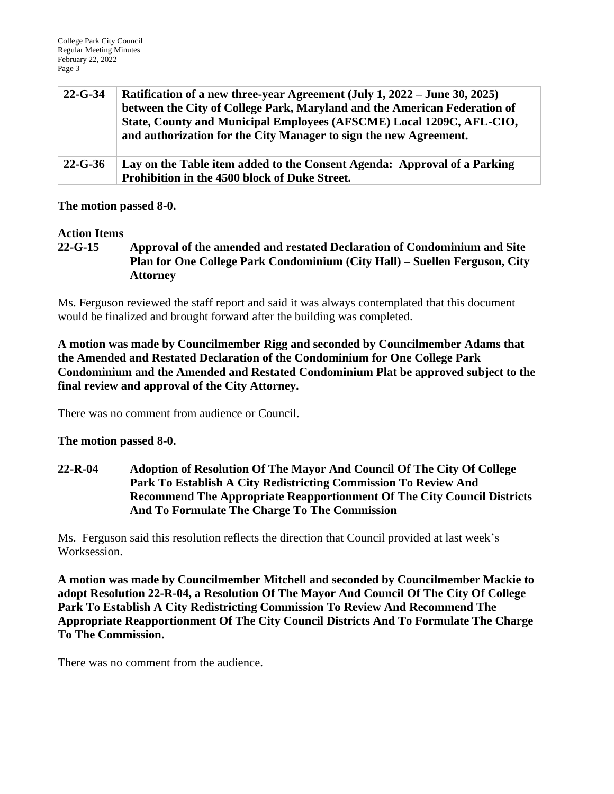| $22 - G - 34$ | Ratification of a new three-year Agreement (July 1, 2022 – June 30, 2025)<br>between the City of College Park, Maryland and the American Federation of<br>State, County and Municipal Employees (AFSCME) Local 1209C, AFL-CIO,<br>and authorization for the City Manager to sign the new Agreement. |
|---------------|-----------------------------------------------------------------------------------------------------------------------------------------------------------------------------------------------------------------------------------------------------------------------------------------------------|
| $22 - G - 36$ | Lay on the Table item added to the Consent Agenda: Approval of a Parking<br>Prohibition in the 4500 block of Duke Street.                                                                                                                                                                           |

#### **The motion passed 8-0.**

#### **Action Items**

**22-G-15 Approval of the amended and restated Declaration of Condominium and Site Plan for One College Park Condominium (City Hall) – Suellen Ferguson, City Attorney**

Ms. Ferguson reviewed the staff report and said it was always contemplated that this document would be finalized and brought forward after the building was completed.

**A motion was made by Councilmember Rigg and seconded by Councilmember Adams that the Amended and Restated Declaration of the Condominium for One College Park Condominium and the Amended and Restated Condominium Plat be approved subject to the final review and approval of the City Attorney.**

There was no comment from audience or Council.

#### **The motion passed 8-0.**

**22-R-04 Adoption of Resolution Of The Mayor And Council Of The City Of College Park To Establish A City Redistricting Commission To Review And Recommend The Appropriate Reapportionment Of The City Council Districts And To Formulate The Charge To The Commission**

Ms. Ferguson said this resolution reflects the direction that Council provided at last week's Worksession.

**A motion was made by Councilmember Mitchell and seconded by Councilmember Mackie to adopt Resolution 22-R-04, a Resolution Of The Mayor And Council Of The City Of College Park To Establish A City Redistricting Commission To Review And Recommend The Appropriate Reapportionment Of The City Council Districts And To Formulate The Charge To The Commission.** 

There was no comment from the audience.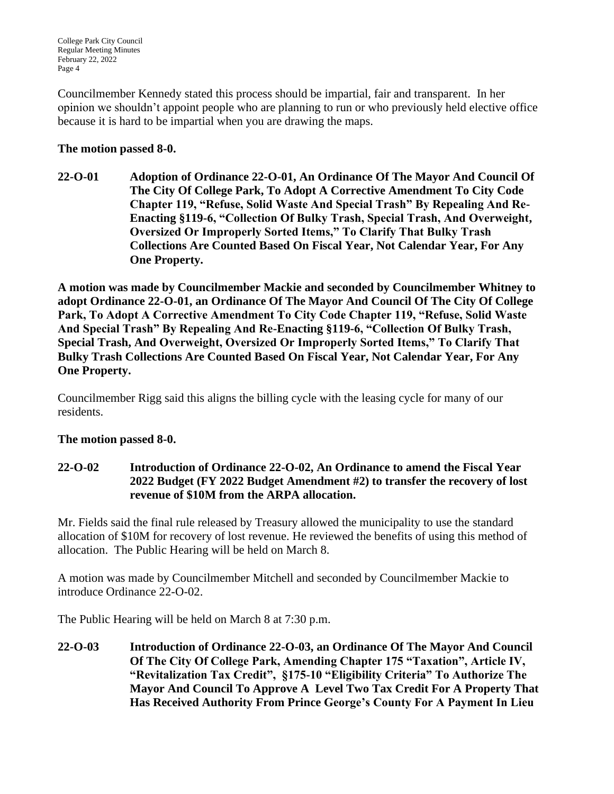Councilmember Kennedy stated this process should be impartial, fair and transparent. In her opinion we shouldn't appoint people who are planning to run or who previously held elective office because it is hard to be impartial when you are drawing the maps.

# **The motion passed 8-0.**

**22-O-01 Adoption of Ordinance 22-O-01, An Ordinance Of The Mayor And Council Of The City Of College Park, To Adopt A Corrective Amendment To City Code Chapter 119, "Refuse, Solid Waste And Special Trash" By Repealing And Re-Enacting §119-6, "Collection Of Bulky Trash, Special Trash, And Overweight, Oversized Or Improperly Sorted Items," To Clarify That Bulky Trash Collections Are Counted Based On Fiscal Year, Not Calendar Year, For Any One Property.**

**A motion was made by Councilmember Mackie and seconded by Councilmember Whitney to adopt Ordinance 22-O-01, an Ordinance Of The Mayor And Council Of The City Of College Park, To Adopt A Corrective Amendment To City Code Chapter 119, "Refuse, Solid Waste And Special Trash" By Repealing And Re-Enacting §119-6, "Collection Of Bulky Trash, Special Trash, And Overweight, Oversized Or Improperly Sorted Items," To Clarify That Bulky Trash Collections Are Counted Based On Fiscal Year, Not Calendar Year, For Any One Property.**

Councilmember Rigg said this aligns the billing cycle with the leasing cycle for many of our residents.

## **The motion passed 8-0.**

## **22-O-02 Introduction of Ordinance 22-O-02, An Ordinance to amend the Fiscal Year 2022 Budget (FY 2022 Budget Amendment #2) to transfer the recovery of lost revenue of \$10M from the ARPA allocation.**

Mr. Fields said the final rule released by Treasury allowed the municipality to use the standard allocation of \$10M for recovery of lost revenue. He reviewed the benefits of using this method of allocation. The Public Hearing will be held on March 8.

A motion was made by Councilmember Mitchell and seconded by Councilmember Mackie to introduce Ordinance 22-O-02.

The Public Hearing will be held on March 8 at 7:30 p.m.

**22-O-03 Introduction of Ordinance 22-O-03, an Ordinance Of The Mayor And Council Of The City Of College Park, Amending Chapter 175 "Taxation", Article IV, "Revitalization Tax Credit", §175-10 "Eligibility Criteria" To Authorize The Mayor And Council To Approve A Level Two Tax Credit For A Property That Has Received Authority From Prince George's County For A Payment In Lieu**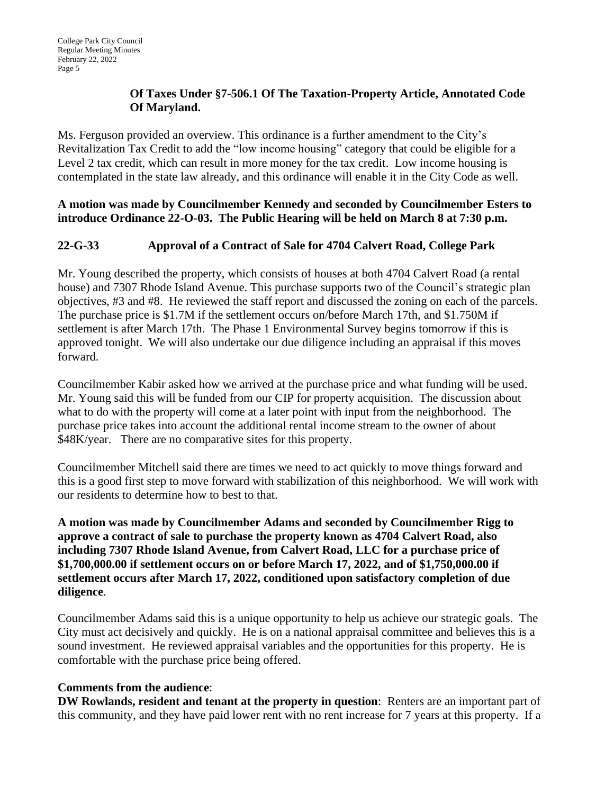# **Of Taxes Under §7-506.1 Of The Taxation-Property Article, Annotated Code Of Maryland.**

Ms. Ferguson provided an overview. This ordinance is a further amendment to the City's Revitalization Tax Credit to add the "low income housing" category that could be eligible for a Level 2 tax credit, which can result in more money for the tax credit. Low income housing is contemplated in the state law already, and this ordinance will enable it in the City Code as well.

**A motion was made by Councilmember Kennedy and seconded by Councilmember Esters to introduce Ordinance 22-O-03. The Public Hearing will be held on March 8 at 7:30 p.m.**

# **22-G-33 Approval of a Contract of Sale for 4704 Calvert Road, College Park**

Mr. Young described the property, which consists of houses at both 4704 Calvert Road (a rental house) and 7307 Rhode Island Avenue. This purchase supports two of the Council's strategic plan objectives, #3 and #8. He reviewed the staff report and discussed the zoning on each of the parcels. The purchase price is \$1.7M if the settlement occurs on/before March 17th, and \$1.750M if settlement is after March 17th. The Phase 1 Environmental Survey begins tomorrow if this is approved tonight. We will also undertake our due diligence including an appraisal if this moves forward.

Councilmember Kabir asked how we arrived at the purchase price and what funding will be used. Mr. Young said this will be funded from our CIP for property acquisition. The discussion about what to do with the property will come at a later point with input from the neighborhood. The purchase price takes into account the additional rental income stream to the owner of about \$48K/year. There are no comparative sites for this property.

Councilmember Mitchell said there are times we need to act quickly to move things forward and this is a good first step to move forward with stabilization of this neighborhood. We will work with our residents to determine how to best to that.

**A motion was made by Councilmember Adams and seconded by Councilmember Rigg to approve a contract of sale to purchase the property known as 4704 Calvert Road, also including 7307 Rhode Island Avenue, from Calvert Road, LLC for a purchase price of \$1,700,000.00 if settlement occurs on or before March 17, 2022, and of \$1,750,000.00 if settlement occurs after March 17, 2022, conditioned upon satisfactory completion of due diligence**.

Councilmember Adams said this is a unique opportunity to help us achieve our strategic goals. The City must act decisively and quickly. He is on a national appraisal committee and believes this is a sound investment. He reviewed appraisal variables and the opportunities for this property. He is comfortable with the purchase price being offered.

## **Comments from the audience**:

**DW Rowlands, resident and tenant at the property in question**: Renters are an important part of this community, and they have paid lower rent with no rent increase for 7 years at this property. If a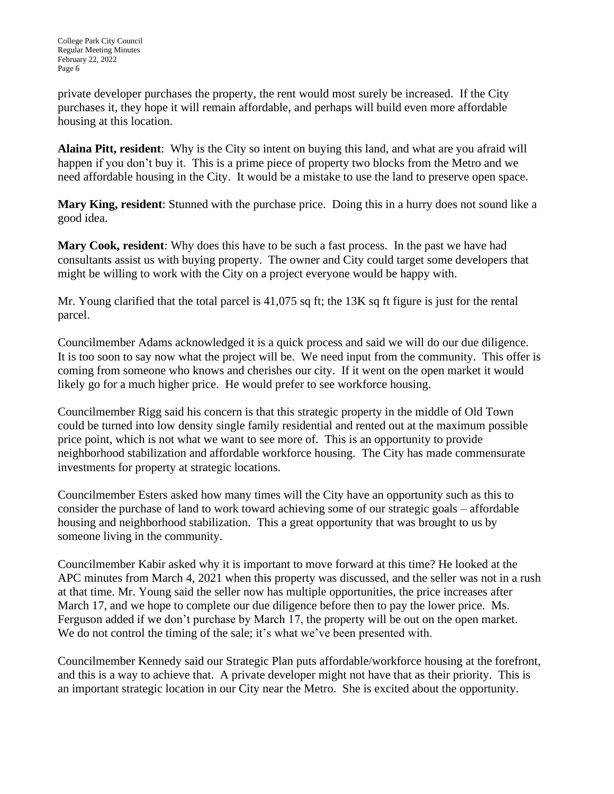private developer purchases the property, the rent would most surely be increased. If the City purchases it, they hope it will remain affordable, and perhaps will build even more affordable housing at this location.

**Alaina Pitt, resident**: Why is the City so intent on buying this land, and what are you afraid will happen if you don't buy it. This is a prime piece of property two blocks from the Metro and we need affordable housing in the City. It would be a mistake to use the land to preserve open space.

**Mary King, resident**: Stunned with the purchase price. Doing this in a hurry does not sound like a good idea.

**Mary Cook, resident**: Why does this have to be such a fast process. In the past we have had consultants assist us with buying property. The owner and City could target some developers that might be willing to work with the City on a project everyone would be happy with.

Mr. Young clarified that the total parcel is 41,075 sq ft; the 13K sq ft figure is just for the rental parcel.

Councilmember Adams acknowledged it is a quick process and said we will do our due diligence. It is too soon to say now what the project will be. We need input from the community. This offer is coming from someone who knows and cherishes our city. If it went on the open market it would likely go for a much higher price. He would prefer to see workforce housing.

Councilmember Rigg said his concern is that this strategic property in the middle of Old Town could be turned into low density single family residential and rented out at the maximum possible price point, which is not what we want to see more of. This is an opportunity to provide neighborhood stabilization and affordable workforce housing. The City has made commensurate investments for property at strategic locations.

Councilmember Esters asked how many times will the City have an opportunity such as this to consider the purchase of land to work toward achieving some of our strategic goals – affordable housing and neighborhood stabilization. This a great opportunity that was brought to us by someone living in the community.

Councilmember Kabir asked why it is important to move forward at this time? He looked at the APC minutes from March 4, 2021 when this property was discussed, and the seller was not in a rush at that time. Mr. Young said the seller now has multiple opportunities, the price increases after March 17, and we hope to complete our due diligence before then to pay the lower price. Ms. Ferguson added if we don't purchase by March 17, the property will be out on the open market. We do not control the timing of the sale; it's what we've been presented with.

Councilmember Kennedy said our Strategic Plan puts affordable/workforce housing at the forefront, and this is a way to achieve that. A private developer might not have that as their priority. This is an important strategic location in our City near the Metro. She is excited about the opportunity.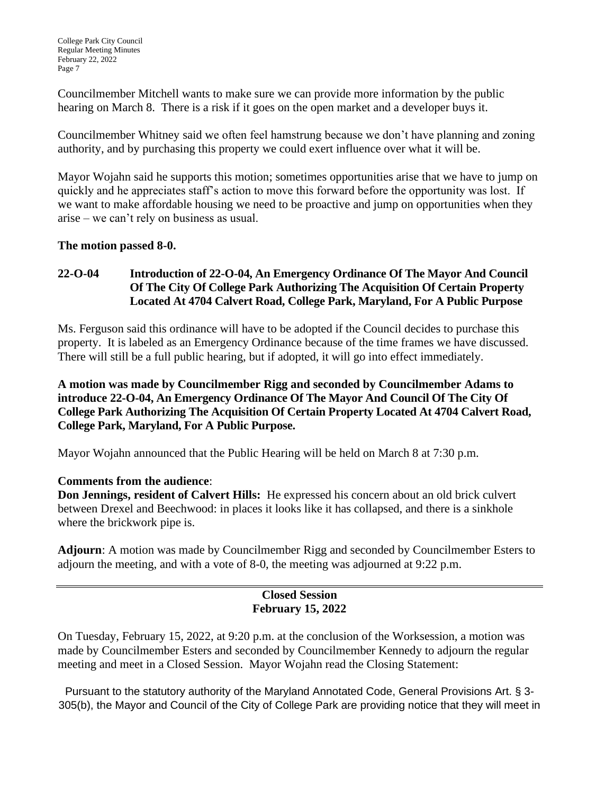Councilmember Mitchell wants to make sure we can provide more information by the public hearing on March 8. There is a risk if it goes on the open market and a developer buys it.

Councilmember Whitney said we often feel hamstrung because we don't have planning and zoning authority, and by purchasing this property we could exert influence over what it will be.

Mayor Wojahn said he supports this motion; sometimes opportunities arise that we have to jump on quickly and he appreciates staff's action to move this forward before the opportunity was lost. If we want to make affordable housing we need to be proactive and jump on opportunities when they arise – we can't rely on business as usual.

## **The motion passed 8-0.**

# **22-O-04 Introduction of 22-O-04, An Emergency Ordinance Of The Mayor And Council Of The City Of College Park Authorizing The Acquisition Of Certain Property Located At 4704 Calvert Road, College Park, Maryland, For A Public Purpose**

Ms. Ferguson said this ordinance will have to be adopted if the Council decides to purchase this property. It is labeled as an Emergency Ordinance because of the time frames we have discussed. There will still be a full public hearing, but if adopted, it will go into effect immediately.

**A motion was made by Councilmember Rigg and seconded by Councilmember Adams to introduce 22-O-04, An Emergency Ordinance Of The Mayor And Council Of The City Of College Park Authorizing The Acquisition Of Certain Property Located At 4704 Calvert Road, College Park, Maryland, For A Public Purpose.**

Mayor Wojahn announced that the Public Hearing will be held on March 8 at 7:30 p.m.

## **Comments from the audience**:

**Don Jennings, resident of Calvert Hills:** He expressed his concern about an old brick culvert between Drexel and Beechwood: in places it looks like it has collapsed, and there is a sinkhole where the brickwork pipe is.

**Adjourn**: A motion was made by Councilmember Rigg and seconded by Councilmember Esters to adjourn the meeting, and with a vote of 8-0, the meeting was adjourned at 9:22 p.m.

## **Closed Session February 15, 2022**

On Tuesday, February 15, 2022, at 9:20 p.m. at the conclusion of the Worksession, a motion was made by Councilmember Esters and seconded by Councilmember Kennedy to adjourn the regular meeting and meet in a Closed Session. Mayor Wojahn read the Closing Statement:

Pursuant to the statutory authority of the Maryland Annotated Code, General Provisions Art. § 3- 305(b), the Mayor and Council of the City of College Park are providing notice that they will meet in